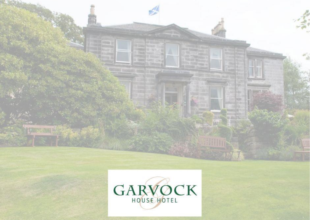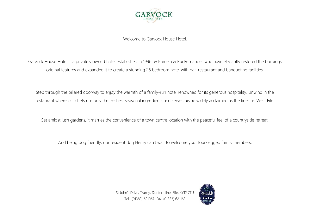

Welcome to Garvock House Hotel.

Garvock House Hotel is a privately owned hotel established in 1996 by Pamela & Rui Fernandes who have elegantly restored the buildings original features and expanded it to create a stunning 26 bedroom hotel with bar, restaurant and banqueting facilities.

Step through the pillared doorway to enjoy the warmth of a family-run hotel renowned for its generous hospitality. Unwind in the restaurant where our chefs use only the freshest seasonal ingredients and serve cuisine widely acclaimed as the finest in West Fife.

Set amidst lush gardens, it marries the convenience of a town centre location with the peaceful feel of a countryside retreat.

And being dog friendly, our resident dog Henry can't wait to welcome your four-legged family members.

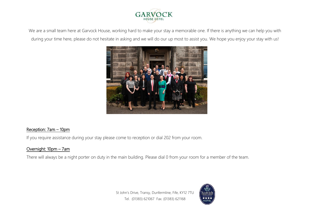

We are a small team here at Garvock House, working hard to make your stay a memorable one. If there is anything we can help you with during your time here, please do not hesitate in asking and we will do our up most to assist you. We hope you enjoy your stay with us!



#### Reception: 7am – 10pm

If you require assistance during your stay please come to reception or dial 202 from your room.

#### Overnight: 10pm – 7am

There will always be a night porter on duty in the main building. Please dial 0 from your room for a member of the team.

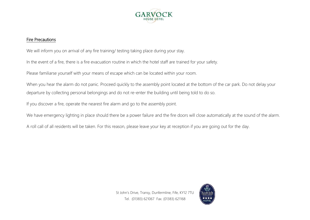

#### Fire Precautions

We will inform you on arrival of any fire training/ testing taking place during your stay.

In the event of a fire, there is a fire evacuation routine in which the hotel staff are trained for your safety.

Please familiarse yourself with your means of escape which can be located within your room.

When you hear the alarm do not panic. Proceed quickly to the assembly point located at the bottom of the car park. Do not delay your departure by collecting personal belongings and do not re-enter the building until being told to do so.

If you discover a fire, operate the nearest fire alarm and go to the assembly point.

We have emergency lighting in place should there be a power failure and the fire doors will close automatically at the sound of the alarm.

A roll call of all residents will be taken. For this reason, please leave your key at reception if you are going out for the day.



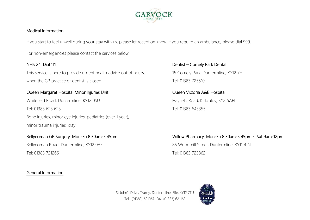

#### Medical Information

If you start to feel unwell during your stay with us, please let reception know. If you require an ambulance, please dial 999.

For non-emergencies please contact the services below;

This service is here to provide urgent health advice out of hours, 15 Comely Park, Dunfermline, KY12 7HU when the GP practice or dentist is closed Tel: 01383 725510

# Queen Margaret Hospital Minor Injuries Unit **Queen Victoria AXE Hospital**

Whitefield Road, Dunfermline, KY12 0SU Hayfield Road, Kirkcaldy, KY2 5AH Tel: 01383 623 623 Tel: 01383 643355 Bone injuries, minor eye injuries, pediatrics (over 1 year), minor trauma injuries, xray

Bellyeoman Road, Dunfermline, KY12 0AE 85 Woodmill Street, Dunfermline, KY11 4JN Tel: 01383 721266 Tel: 01383 723862

#### General Information

NHS 24: Dial 111 **Dentist – Comely Park Dentist** 

# Bellyeoman GP Surgery: Mon-Fri 8.30am-5.45pm Willow Pharmacy: Mon-Fri 8.30am-5.45pm ~ Sat 9am-12pm

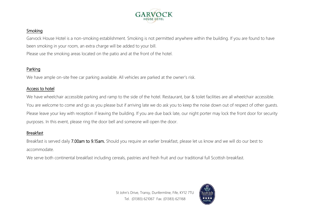

### Smoking

Garvock House Hotel is a non-smoking establishment. Smoking is not permitted anywhere within the building. If you are found to have been smoking in your room, an extra charge will be added to your bill. Please use the smoking areas located on the patio and at the front of the hotel.

# Parking

We have ample on-site free car parking available. All vehicles are parked at the owner's risk.

#### Access to hotel

We have wheelchair accessible parking and ramp to the side of the hotel. Restaurant, bar & toilet facilities are all wheelchair accessible. You are welcome to come and go as you please but if arriving late we do ask you to keep the noise down out of respect of other guests. Please leave your key with reception if leaving the building. If you are due back late, our night porter may lock the front door for security purposes. In this event, please ring the door bell and someone will open the door.

#### Breakfast

Breakfast is served daily 7.00am to 9.15am. Should you require an earlier breakfast, please let us know and we will do our best to accommodate.

We serve both continental breakfast including cereals, pastries and fresh fruit and our traditional full Scottish breakfast.

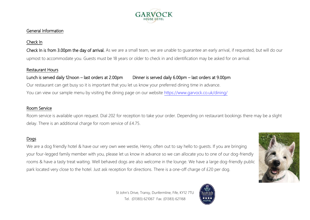

### Check In

Check In is from 3.00pm the day of arrival. As we are a small team, we are unable to quarantee an early arrival, if requested, but will do our upmost to accommodate you. Guests must be 18 years or older to check in and identification may be asked for on arrival.

#### Restaurant Hours

# Lunch is served daily 12noon – last orders at 2.00pm Dinner is served daily 6.00pm – last orders at 9.00pm Our restaurant can get busy so it is important that you let us know your preferred dining time in advance. You can view our sample menu by visiting the dining page on our website<https://www.garvock.co.uk/dining/>

#### Room Service

Room service is available upon request. Dial 202 for reception to take your order. Depending on restaurant bookings there may be a slight delay. There is an additional charge for room service of £4.75.

# Dogs

We are a dog friendly hotel & have our very own wee westie, Henry, often out to say hello to guests. If you are bringing your four-legged family member with you, please let us know in advance so we can allocate you to one of our dog-friendly rooms & have a tasty treat waiting. Well behaved dogs are also welcome in the lounge. We have a large dog-friendly public park located very close to the hotel. Just ask reception for directions. There is a one-off charge of £20 per dog.





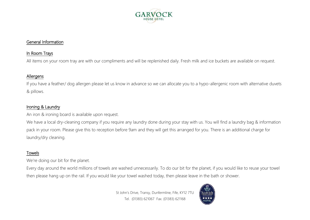

### In Room Trays

All items on your room tray are with our compliments and will be replenished daily. Fresh milk and ice buckets are available on request.

#### Allergens

If you have a feather/ dog allergen please let us know in advance so we can allocate you to a hypo-allergenic room with alternative duvets & pillows.

#### Ironing & Laundry

An iron & ironing board is available upon request.

We have a local dry-cleaning company if you require any laundry done during your stay with us. You will find a laundry bag & information pack in your room. Please give this to reception before 9am and they will get this arranged for you. There is an additional charge for laundry/dry cleaning.

# Towels

We're doing our bit for the planet.

Every day around the world millions of towels are washed unnecessarily. To do our bit for the planet, if you would like to reuse your towel then please hang up on the rail. If you would like your towel washed today, then please leave in the bath or shower.

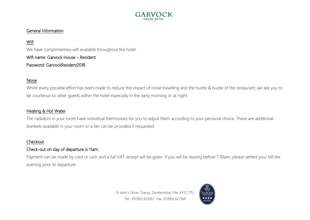

# Wifi

We have complimentary wifi available throughout the hotel. Wifi name: Garvock House – Resident Password: GarvockResident2018

#### Noise

Whilst every possible effort has been made to reduce the impact of noise travelling and the hustle & bustle of the restaurant, we ask you to be courteous to other guests within the hotel especially in the early morning or at night.

#### Heating & Hot Water

The radiators in your room have individual thermostats for you to adjust them according to your personal choice. There are additional blankets available in your room or a fan can be provided if requested.

#### **Checkout**

#### Check-out on day of departure is 11am.

Payment can be made by card or cash and a full VAT receipt will be given. If you will be leaving before 7.00am, please settled your bill the evening prior to departure.

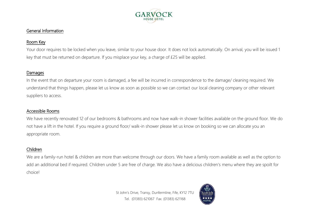

# Room Key

Your door requires to be locked when you leave, similar to your house door. It does not lock automatically. On arrival, you will be issued 1 key that must be returned on departure. If you misplace your key, a charge of £25 will be applied.

#### Damages

In the event that on departure your room is damaged, a fee will be incurred in correspondence to the damage/ cleaning required. We understand that things happen, please let us know as soon as possible so we can contact our local cleaning company or other relevant suppliers to access.

#### Accessible Rooms

We have recently renovated 12 of our bedrooms & bathrooms and now have walk-in shower facilities available on the ground floor. We do not have a lift in the hotel. If you require a ground floor/ walk-in shower please let us know on booking so we can allocate you an appropriate room.

#### Children

We are a family-run hotel & children are more than welcome through our doors. We have a family room available as well as the option to add an additional bed if required. Children under 5 are free of charge. We also have a delicious children's menu where they are spoilt for choice!

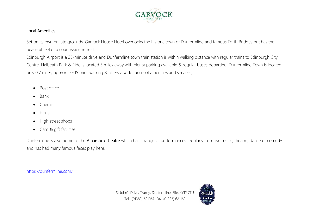

#### Local Amenities

Set on its own private grounds, Garvock House Hotel overlooks the historic town of Dunfermline and famous Forth Bridges but has the peaceful feel of a countryside retreat.

Edinburgh Airport is a 25-minute drive and Dunfermline town train station is within walking distance with regular trains to Edinburgh City Centre. Halbeath Park & Ride is located 3 miles away with plenty parking available & regular buses departing. Dunfermline Town is located only 0.7 miles, approx. 10-15 mins walking & offers a wide range of amenities and services;

- Post office
- Bank
- Chemist
- Florist
- High street shops
- Card & gift facilities

Dunfermline is also home to the Alhambra Theatre which has a range of performances regularly from live music, theatre, dance or comedy and has had many famous faces play here.

<https://dunfermline.com/>

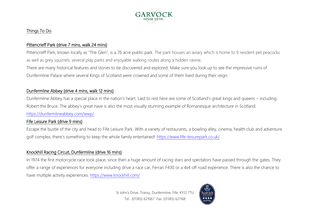

### Things To Do

# Pittencrieff Park (drive 7 mins, walk 24 mins)

Pittencrieff Park, known locally as "The Glen", is a 76 acre [public park.](https://en.wikipedia.org/wiki/Public_park) The park houses an aviary which is home to 9 resident pet peacocks as well as grey squirrels, several play parks and enjoyable walking routes along a hidden ravine.

There are many historical features and stories to be discovered and explored. Make sure you look up to see the impressive ruins of Dunfermline Palace where several Kings of Scotland were crowned and some of them lived during their reign.

# Dunfermline Abbey (drive 4 mins, walk 12 mins)

Dunfermline Abbey has a special place in the nation's heart. Laid to rest here are some of Scotland's great kings and queens – including Robert the Bruce. The abbey's great nave is also the most visually stunning example of Romanesque architecture in Scotland. <https://dunfermlineabbey.com/wwp/>

#### Fife Leisure Park (drive 9 mins)

Escape the bustle of the city and head to Fife Leisure Park. With a variety of restaurants, a bowling alley, cinema, health club and adventure golf complex, there's something to keep the whole family entertained! <https://www.fife-leisurepark.co.uk/>

# Knockhill Racing Circuit, Dunfermline (drive 16 mins)

In 1974 the first motorcycle race took place, since then a huge amount of racing stars and spectators have passed through the gates. They offer a range of experiences for everyone including drive a race car, Ferrari F430 or a 4x4 off road experience. There is also the chance to have multiple activity experiences. <https://www.knockhill.com/>

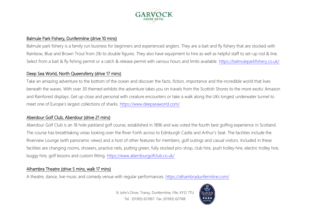

#### Balmule Park Fishery, Dunfermline (drive 10 mins)

Balmule park fishery is a family run business for beginners and experienced anglers. They are a bait and fly fishery that are stocked with Rainbow, Blue and Brown Trout from 2lb to double figures. They also have equipment to hire as well as helpful staff to set-up rod & line. Select from a bait & fly fishing permit or a catch & release permit with various hours and limits available.<https://balmuleparkfishery.co.uk/>

#### Deep Sea World, North Queensferry (drive 17 mins)

Take an amazing adventure to the bottom of the ocean and discover the facts, fiction, importance and the incredible world that lives beneath the waves. With over 30 themed exhibits the adventure takes you on travels from the Scottish Shores to the more exotic Amazon and Rainforest displays. Get up close and personal with creature encounters or take a walk along the UKs longest underwater tunnel to meet one of Europe's largest collections of sharks. <https://www.deepseaworld.com/>

#### Aberdour Golf Club, Aberdour (drive 21 mins)

Aberdour Golf Club is an 18 hole parkland golf course, established in 1896 and was voted the fourth best golfing experience in Scotland. The course has breathtaking vistas looking over the River Forth across to Edinburgh Castle and Arthur's Seat. The facilities include the Riverview Lounge (with panoramic views) and a host of other features for members, golf outings and casual visitors. Included in these facilities are changing rooms, showers, practice nets, putting green, fully stocked pro-shop, club hire, push trolley hire, electric trolley hire, buggy hire, golf lessons and custom fitting. <https://www.aberdourgolfclub.co.uk/>

#### Alhambra Theatre (drive 5 mins, walk 17 mins)

A theatre, dance, live music and comedy venue with regular performances.<https://alhambradunfermline.com/>